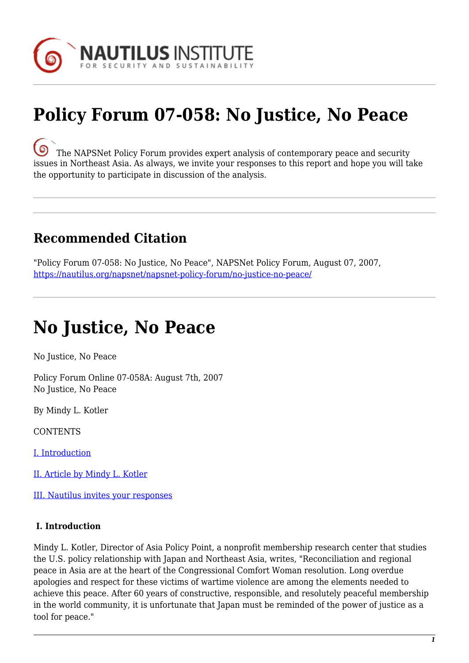

# **Policy Forum 07-058: No Justice, No Peace**

[T](https://nautilus.org/wp-content/uploads/2013/05/nautilus-logo-small.png)he NAPSNet Policy Forum provides expert analysis of contemporary peace and security issues in Northeast Asia. As always, we invite your responses to this report and hope you will take the opportunity to participate in discussion of the analysis.

### **Recommended Citation**

"Policy Forum 07-058: No Justice, No Peace", NAPSNet Policy Forum, August 07, 2007, <https://nautilus.org/napsnet/napsnet-policy-forum/no-justice-no-peace/>

## **No Justice, No Peace**

No Justice, No Peace

Policy Forum Online 07-058A: August 7th, 2007 No Justice, No Peace

By Mindy L. Kotler

**CONTENTS** 

[I. Introduction](#page-0-0)

[II. Article by Mindy L. Kotler](#page--1-0)

[III. Nautilus invites your responses](#page-2-0)

#### <span id="page-0-0"></span> **I. Introduction**

Mindy L. Kotler, Director of Asia Policy Point, a nonprofit membership research center that studies the U.S. policy relationship with Japan and Northeast Asia, writes, "Reconciliation and regional peace in Asia are at the heart of the Congressional Comfort Woman resolution. Long overdue apologies and respect for these victims of wartime violence are among the elements needed to achieve this peace. After 60 years of constructive, responsible, and resolutely peaceful membership in the world community, it is unfortunate that Japan must be reminded of the power of justice as a tool for peace."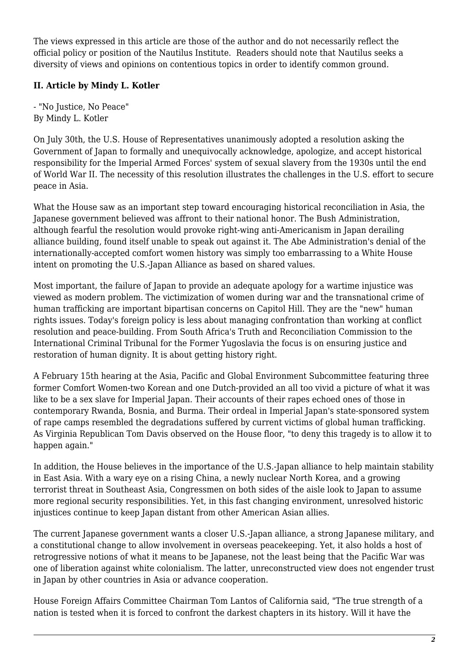The views expressed in this article are those of the author and do not necessarily reflect the official policy or position of the Nautilus Institute. Readers should note that Nautilus seeks a diversity of views and opinions on contentious topics in order to identify common ground.

### **II. Article by Mindy L. Kotler**

- "No Justice, No Peace" By Mindy L. Kotler

On July 30th, the U.S. House of Representatives unanimously adopted a resolution asking the Government of Japan to formally and unequivocally acknowledge, apologize, and accept historical responsibility for the Imperial Armed Forces' system of sexual slavery from the 1930s until the end of World War II. The necessity of this resolution illustrates the challenges in the U.S. effort to secure peace in Asia.

What the House saw as an important step toward encouraging historical reconciliation in Asia, the Japanese government believed was affront to their national honor. The Bush Administration, although fearful the resolution would provoke right-wing anti-Americanism in Japan derailing alliance building, found itself unable to speak out against it. The Abe Administration's denial of the internationally-accepted comfort women history was simply too embarrassing to a White House intent on promoting the U.S.-Japan Alliance as based on shared values.

Most important, the failure of Japan to provide an adequate apology for a wartime injustice was viewed as modern problem. The victimization of women during war and the transnational crime of human trafficking are important bipartisan concerns on Capitol Hill. They are the "new" human rights issues. Today's foreign policy is less about managing confrontation than working at conflict resolution and peace-building. From South Africa's Truth and Reconciliation Commission to the International Criminal Tribunal for the Former Yugoslavia the focus is on ensuring justice and restoration of human dignity. It is about getting history right.

A February 15th hearing at the Asia, Pacific and Global Environment Subcommittee featuring three former Comfort Women-two Korean and one Dutch-provided an all too vivid a picture of what it was like to be a sex slave for Imperial Japan. Their accounts of their rapes echoed ones of those in contemporary Rwanda, Bosnia, and Burma. Their ordeal in Imperial Japan's state-sponsored system of rape camps resembled the degradations suffered by current victims of global human trafficking. As Virginia Republican Tom Davis observed on the House floor, "to deny this tragedy is to allow it to happen again."

In addition, the House believes in the importance of the U.S.-Japan alliance to help maintain stability in East Asia. With a wary eye on a rising China, a newly nuclear North Korea, and a growing terrorist threat in Southeast Asia, Congressmen on both sides of the aisle look to Japan to assume more regional security responsibilities. Yet, in this fast changing environment, unresolved historic injustices continue to keep Japan distant from other American Asian allies.

The current Japanese government wants a closer U.S.-Japan alliance, a strong Japanese military, and a constitutional change to allow involvement in overseas peacekeeping. Yet, it also holds a host of retrogressive notions of what it means to be Japanese, not the least being that the Pacific War was one of liberation against white colonialism. The latter, unreconstructed view does not engender trust in Japan by other countries in Asia or advance cooperation.

House Foreign Affairs Committee Chairman Tom Lantos of California said, "The true strength of a nation is tested when it is forced to confront the darkest chapters in its history. Will it have the